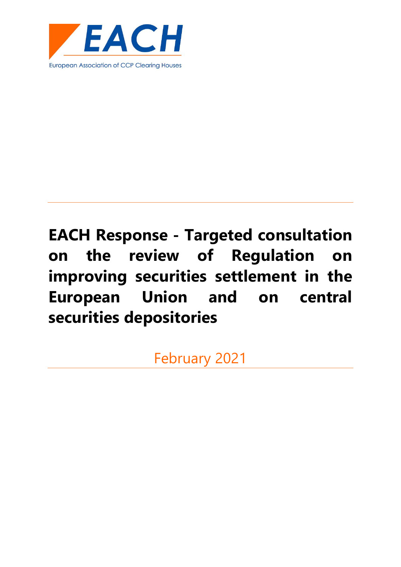

February 2021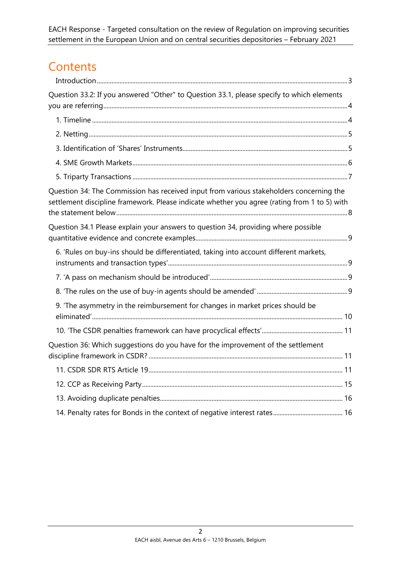# **Contents**

| Question 33.2: If you answered "Other" to Question 33.1, please specify to which elements                                                                                               |  |
|-----------------------------------------------------------------------------------------------------------------------------------------------------------------------------------------|--|
|                                                                                                                                                                                         |  |
|                                                                                                                                                                                         |  |
|                                                                                                                                                                                         |  |
|                                                                                                                                                                                         |  |
|                                                                                                                                                                                         |  |
| Question 34: The Commission has received input from various stakeholders concerning the<br>settlement discipline framework. Please indicate whether you agree (rating from 1 to 5) with |  |
| Question 34.1 Please explain your answers to question 34, providing where possible                                                                                                      |  |
| 6. 'Rules on buy-ins should be differentiated, taking into account different markets,                                                                                                   |  |
|                                                                                                                                                                                         |  |
|                                                                                                                                                                                         |  |
| 9. 'The asymmetry in the reimbursement for changes in market prices should be                                                                                                           |  |
|                                                                                                                                                                                         |  |
| Question 36: Which suggestions do you have for the improvement of the settlement                                                                                                        |  |
|                                                                                                                                                                                         |  |
|                                                                                                                                                                                         |  |
|                                                                                                                                                                                         |  |
|                                                                                                                                                                                         |  |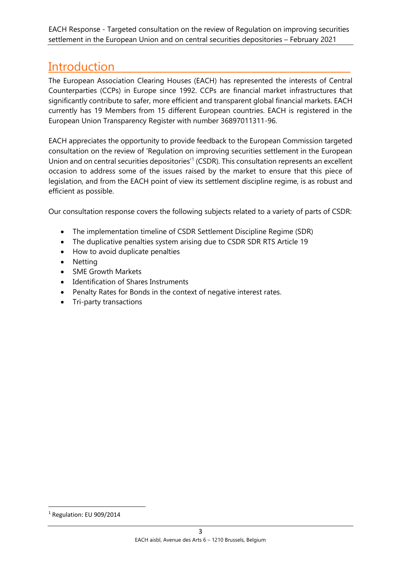# <span id="page-2-0"></span>Introduction

The European Association Clearing Houses (EACH) has represented the interests of Central Counterparties (CCPs) in Europe since 1992. CCPs are financial market infrastructures that significantly contribute to safer, more efficient and transparent global financial markets. EACH currently has 19 Members from 15 different European countries. EACH is registered in the European Union Transparency Register with number 36897011311-96.

EACH appreciates the opportunity to provide feedback to the European Commission targeted consultation on the review of 'Regulation on improving securities settlement in the European Union and on central securities depositories<sup>1</sup> (CSDR). This consultation represents an excellent occasion to address some of the issues raised by the market to ensure that this piece of legislation, and from the EACH point of view its settlement discipline regime, is as robust and efficient as possible.

Our consultation response covers the following subjects related to a variety of parts of CSDR:

- The implementation timeline of CSDR Settlement Discipline Regime (SDR)
- The duplicative penalties system arising due to CSDR SDR RTS Article 19
- How to avoid duplicate penalties
- Netting
- SME Growth Markets
- Identification of Shares Instruments
- Penalty Rates for Bonds in the context of negative interest rates.
- Tri-party transactions

<sup>1</sup> Regulation: EU 909/2014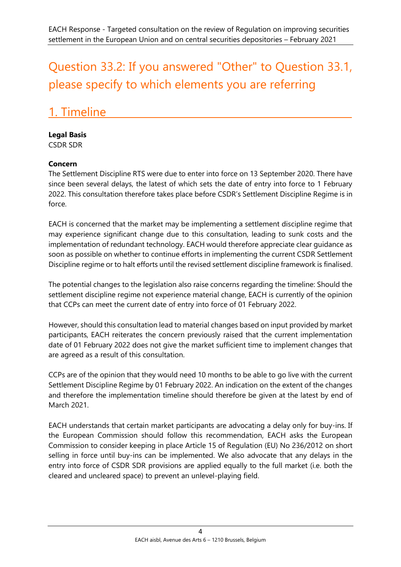# <span id="page-3-0"></span>Question 33.2: If you answered "Other" to Question 33.1, please specify to which elements you are referring

# <span id="page-3-1"></span>1. Timeline

### **Legal Basis**

CSDR SDR

### **Concern**

The Settlement Discipline RTS were due to enter into force on 13 September 2020. There have since been several delays, the latest of which sets the date of entry into force to 1 February 2022. This consultation therefore takes place before CSDR's Settlement Discipline Regime is in force.

EACH is concerned that the market may be implementing a settlement discipline regime that may experience significant change due to this consultation, leading to sunk costs and the implementation of redundant technology. EACH would therefore appreciate clear guidance as soon as possible on whether to continue efforts in implementing the current CSDR Settlement Discipline regime or to halt efforts until the revised settlement discipline framework is finalised.

The potential changes to the legislation also raise concerns regarding the timeline: Should the settlement discipline regime not experience material change, EACH is currently of the opinion that CCPs can meet the current date of entry into force of 01 February 2022.

However, should this consultation lead to material changes based on input provided by market participants, EACH reiterates the concern previously raised that the current implementation date of 01 February 2022 does not give the market sufficient time to implement changes that are agreed as a result of this consultation.

CCPs are of the opinion that they would need 10 months to be able to go live with the current Settlement Discipline Regime by 01 February 2022. An indication on the extent of the changes and therefore the implementation timeline should therefore be given at the latest by end of March 2021.

EACH understands that certain market participants are advocating a delay only for buy-ins. If the European Commission should follow this recommendation, EACH asks the European Commission to consider keeping in place Article 15 of Regulation (EU) No 236/2012 on short selling in force until buy-ins can be implemented. We also advocate that any delays in the entry into force of CSDR SDR provisions are applied equally to the full market (i.e. both the cleared and uncleared space) to prevent an unlevel-playing field.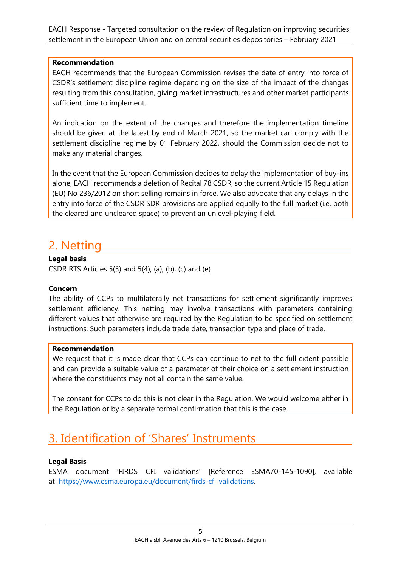#### **Recommendation**

EACH recommends that the European Commission revises the date of entry into force of CSDR's settlement discipline regime depending on the size of the impact of the changes resulting from this consultation, giving market infrastructures and other market participants sufficient time to implement.

An indication on the extent of the changes and therefore the implementation timeline should be given at the latest by end of March 2021, so the market can comply with the settlement discipline regime by 01 February 2022, should the Commission decide not to make any material changes.

In the event that the European Commission decides to delay the implementation of buy-ins alone, EACH recommends a deletion of Recital 78 CSDR, so the current Article 15 Regulation (EU) No 236/2012 on short selling remains in force. We also advocate that any delays in the entry into force of the CSDR SDR provisions are applied equally to the full market (i.e. both the cleared and uncleared space) to prevent an unlevel-playing field.

# <span id="page-4-0"></span>2. Netting

#### **Legal basis**

CSDR RTS Articles 5(3) and 5(4), (a), (b), (c) and (e)

#### **Concern**

The ability of CCPs to multilaterally net transactions for settlement significantly improves settlement efficiency. This netting may involve transactions with parameters containing different values that otherwise are required by the Regulation to be specified on settlement instructions. Such parameters include trade date, transaction type and place of trade.

#### **Recommendation**

We request that it is made clear that CCPs can continue to net to the full extent possible and can provide a suitable value of a parameter of their choice on a settlement instruction where the constituents may not all contain the same value.

The consent for CCPs to do this is not clear in the Regulation. We would welcome either in the Regulation or by a separate formal confirmation that this is the case.

# <span id="page-4-1"></span>3. Identification of 'Shares' Instruments

#### **Legal Basis**

ESMA document 'FIRDS CFI validations' [Reference ESMA70-145-1090], available at [https://www.esma.europa.eu/document/firds-cfi-validations.](https://www.esma.europa.eu/document/firds-cfi-validations)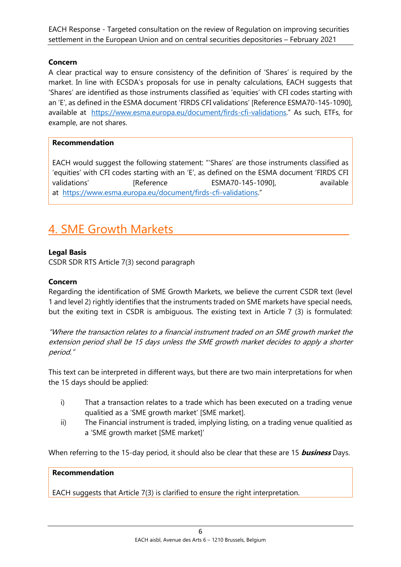#### **Concern**

A clear practical way to ensure consistency of the definition of 'Shares' is required by the market. In line with ECSDA's proposals for use in penalty calculations, EACH suggests that 'Shares' are identified as those instruments classified as 'equities' with CFI codes starting with an 'E', as defined in the ESMA document 'FIRDS CFI validations' [Reference ESMA70-145-1090], available at <https://www.esma.europa.eu/document/firds-cfi-validations>." As such, ETFs, for example, are not shares.

#### **Recommendation**

EACH would suggest the following statement: "'Shares' are those instruments classified as 'equities' with CFI codes starting with an 'E', as defined on the ESMA document 'FIRDS CFI validations' [Reference ESMA70-145-1090], available at <https://www.esma.europa.eu/document/firds-cfi-validations>."

# <span id="page-5-0"></span>4. SME Growth Markets

#### **Legal Basis**

CSDR SDR RTS Article 7(3) second paragraph

### **Concern**

Regarding the identification of SME Growth Markets, we believe the current CSDR text (level 1 and level 2) rightly identifies that the instruments traded on SME markets have special needs, but the exiting text in CSDR is ambiguous. The existing text in Article 7 (3) is formulated:

"Where the transaction relates to a financial instrument traded on an SME growth market the extension period shall be 15 days unless the SME growth market decides to apply a shorter period."

This text can be interpreted in different ways, but there are two main interpretations for when the 15 days should be applied:

- i) That a transaction relates to a trade which has been executed on a trading venue qualitied as a 'SME growth market' [SME market].
- ii) The Financial instrument is traded, implying listing, on a trading venue qualitied as a 'SME growth market [SME market]'

When referring to the 15-day period, it should also be clear that these are 15 **business** Days.

#### **Recommendation**

EACH suggests that Article 7(3) is clarified to ensure the right interpretation.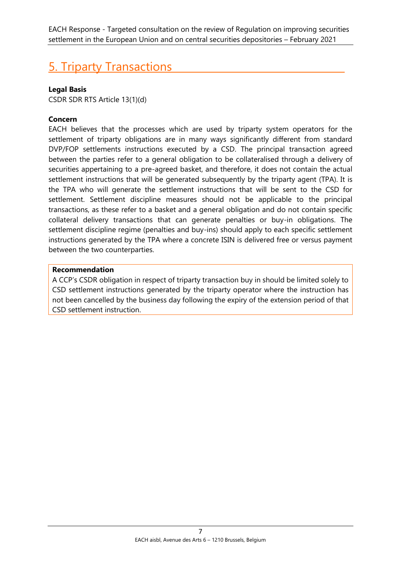# <span id="page-6-0"></span>5. Triparty Transactions

### **Legal Basis**

CSDR SDR RTS Article 13(1)(d)

### **Concern**

EACH believes that the processes which are used by triparty system operators for the settlement of triparty obligations are in many ways significantly different from standard DVP/FOP settlements instructions executed by a CSD. The principal transaction agreed between the parties refer to a general obligation to be collateralised through a delivery of securities appertaining to a pre-agreed basket, and therefore, it does not contain the actual settlement instructions that will be generated subsequently by the triparty agent (TPA). It is the TPA who will generate the settlement instructions that will be sent to the CSD for settlement. Settlement discipline measures should not be applicable to the principal transactions, as these refer to a basket and a general obligation and do not contain specific collateral delivery transactions that can generate penalties or buy-in obligations. The settlement discipline regime (penalties and buy-ins) should apply to each specific settlement instructions generated by the TPA where a concrete ISIN is delivered free or versus payment between the two counterparties.

#### **Recommendation**

A CCP's CSDR obligation in respect of triparty transaction buy in should be limited solely to CSD settlement instructions generated by the triparty operator where the instruction has not been cancelled by the business day following the expiry of the extension period of that CSD settlement instruction.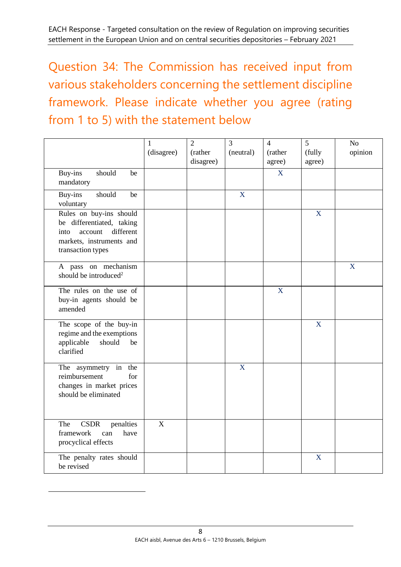<span id="page-7-0"></span>Question 34: The Commission has received input from various stakeholders concerning the settlement discipline framework. Please indicate whether you agree (rating from 1 to 5) with the statement below

|                                                                                                                                       | $\mathbf{1}$<br>(disagree) | $\overline{2}$<br>(rather<br>disagree) | $\overline{3}$<br>(neutral) | $\overline{4}$<br>(rather<br>agree) | 5<br>(fully<br>agree) | No<br>opinion |
|---------------------------------------------------------------------------------------------------------------------------------------|----------------------------|----------------------------------------|-----------------------------|-------------------------------------|-----------------------|---------------|
| should<br>Buy-ins<br>be<br>mandatory                                                                                                  |                            |                                        |                             | X                                   |                       |               |
| should<br>Buy-ins<br>be<br>voluntary                                                                                                  |                            |                                        | X                           |                                     |                       |               |
| Rules on buy-ins should<br>be differentiated, taking<br>different<br>account<br>into<br>markets, instruments and<br>transaction types |                            |                                        |                             |                                     | X                     |               |
| A pass on mechanism<br>should be introduced <sup>2</sup>                                                                              |                            |                                        |                             |                                     |                       | X             |
| The rules on the use of<br>buy-in agents should be<br>amended                                                                         |                            |                                        |                             | X                                   |                       |               |
| The scope of the buy-in<br>regime and the exemptions<br>applicable<br>should<br>be<br>clarified                                       |                            |                                        |                             |                                     | $\overline{X}$        |               |
| The asymmetry in<br>the<br>for<br>reimbursement<br>changes in market prices<br>should be eliminated                                   |                            |                                        | X                           |                                     |                       |               |
| <b>CSDR</b><br>penalties<br>The<br>framework<br>have<br>can<br>procyclical effects                                                    | $\overline{\mathbf{X}}$    |                                        |                             |                                     |                       |               |
| The penalty rates should<br>be revised                                                                                                |                            |                                        |                             |                                     | X                     |               |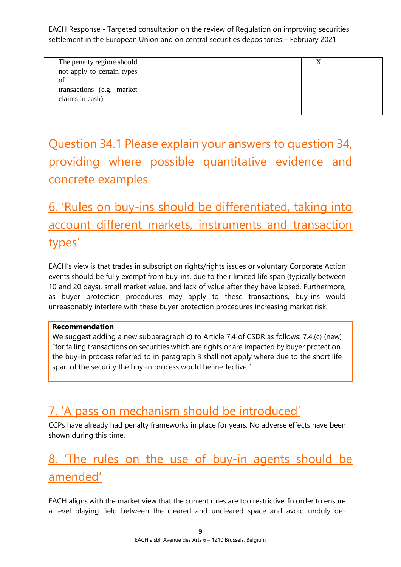| The penalty regime should  |  |  |  |
|----------------------------|--|--|--|
|                            |  |  |  |
| not apply to certain types |  |  |  |
|                            |  |  |  |
| of                         |  |  |  |
|                            |  |  |  |
| transactions (e.g. market) |  |  |  |
|                            |  |  |  |
| claims in cash)            |  |  |  |
|                            |  |  |  |
|                            |  |  |  |
|                            |  |  |  |

# <span id="page-8-0"></span>Question 34.1 Please explain your answers to question 34, providing where possible quantitative evidence and concrete examples

# <span id="page-8-1"></span>6. 'Rules on buy-ins should be differentiated, taking into account different markets, instruments and transaction types'

EACH's view is that trades in subscription rights/rights issues or voluntary Corporate Action events should be fully exempt from buy-ins, due to their limited life span (typically between 10 and 20 days), small market value, and lack of value after they have lapsed. Furthermore, as buyer protection procedures may apply to these transactions, buy-ins would unreasonably interfere with these buyer protection procedures increasing market risk.

### **Recommendation**

We suggest adding a new subparagraph c) to Article 7.4 of CSDR as follows: 7.4.(c) (new) "for failing transactions on securities which are rights or are impacted by buyer protection, the buy-in process referred to in paragraph 3 shall not apply where due to the short life span of the security the buy-in process would be ineffective."

# <span id="page-8-2"></span>7. 'A pass on mechanism should be introduced'

CCPs have already had penalty frameworks in place for years. No adverse effects have been shown during this time.

# <span id="page-8-3"></span>8. 'The rules on the use of buy-in agents should be amended'

EACH aligns with the market view that the current rules are too restrictive. In order to ensure a level playing field between the cleared and uncleared space and avoid unduly de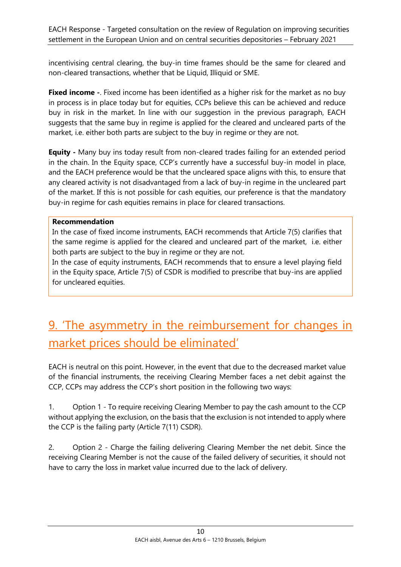incentivising central clearing, the buy-in time frames should be the same for cleared and non-cleared transactions, whether that be Liquid, Illiquid or SME.

**Fixed income -**. Fixed income has been identified as a higher risk for the market as no buy in process is in place today but for equities, CCPs believe this can be achieved and reduce buy in risk in the market. In line with our suggestion in the previous paragraph, EACH suggests that the same buy in regime is applied for the cleared and uncleared parts of the market, i.e. either both parts are subject to the buy in regime or they are not.

**Equity -** Many buy ins today result from non-cleared trades failing for an extended period in the chain. In the Equity space, CCP's currently have a successful buy-in model in place, and the EACH preference would be that the uncleared space aligns with this, to ensure that any cleared activity is not disadvantaged from a lack of buy-in regime in the uncleared part of the market. If this is not possible for cash equities, our preference is that the mandatory buy-in regime for cash equities remains in place for cleared transactions.

#### **Recommendation**

In the case of fixed income instruments, EACH recommends that Article 7(5) clarifies that the same regime is applied for the cleared and uncleared part of the market, i.e. either both parts are subject to the buy in regime or they are not.

In the case of equity instruments, EACH recommends that to ensure a level playing field in the Equity space, Article 7(5) of CSDR is modified to prescribe that buy-ins are applied for uncleared equities.

# <span id="page-9-0"></span>9. 'The asymmetry in the reimbursement for changes in market prices should be eliminated'

EACH is neutral on this point. However, in the event that due to the decreased market value of the financial instruments, the receiving Clearing Member faces a net debit against the CCP, CCPs may address the CCP's short position in the following two ways:

1. Option 1 - To require receiving Clearing Member to pay the cash amount to the CCP without applying the exclusion, on the basis that the exclusion is not intended to apply where the CCP is the failing party (Article 7(11) CSDR).

2. Option 2 - Charge the failing delivering Clearing Member the net debit. Since the receiving Clearing Member is not the cause of the failed delivery of securities, it should not have to carry the loss in market value incurred due to the lack of delivery.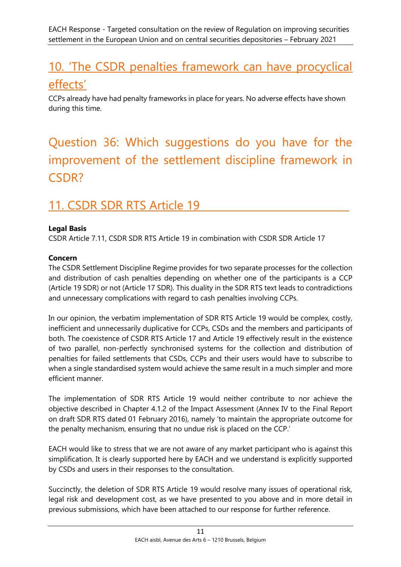# <span id="page-10-0"></span>10. 'The CSDR penalties framework can have procyclical effects'

CCPs already have had penalty frameworks in place for years. No adverse effects have shown during this time.

# <span id="page-10-1"></span>Question 36: Which suggestions do you have for the improvement of the settlement discipline framework in CSDR?

# <span id="page-10-2"></span>11. CSDR SDR RTS Article 19

### **Legal Basis**

CSDR Article 7.11, CSDR SDR RTS Article 19 in combination with CSDR SDR Article 17

### **Concern**

The CSDR Settlement Discipline Regime provides for two separate processes for the collection and distribution of cash penalties depending on whether one of the participants is a CCP (Article 19 SDR) or not (Article 17 SDR). This duality in the SDR RTS text leads to contradictions and unnecessary complications with regard to cash penalties involving CCPs.

In our opinion, the verbatim implementation of SDR RTS Article 19 would be complex, costly, inefficient and unnecessarily duplicative for CCPs, CSDs and the members and participants of both. The coexistence of CSDR RTS Article 17 and Article 19 effectively result in the existence of two parallel, non-perfectly synchronised systems for the collection and distribution of penalties for failed settlements that CSDs, CCPs and their users would have to subscribe to when a single standardised system would achieve the same result in a much simpler and more efficient manner.

The implementation of SDR RTS Article 19 would neither contribute to nor achieve the objective described in Chapter 4.1.2 of the Impact Assessment (Annex IV to the Final Report on draft SDR RTS dated 01 February 2016), namely 'to maintain the appropriate outcome for the penalty mechanism, ensuring that no undue risk is placed on the CCP.'

EACH would like to stress that we are not aware of any market participant who is against this simplification. It is clearly supported here by EACH and we understand is explicitly supported by CSDs and users in their responses to the consultation.

Succinctly, the deletion of SDR RTS Article 19 would resolve many issues of operational risk, legal risk and development cost, as we have presented to you above and in more detail in previous submissions, which have been attached to our response for further reference.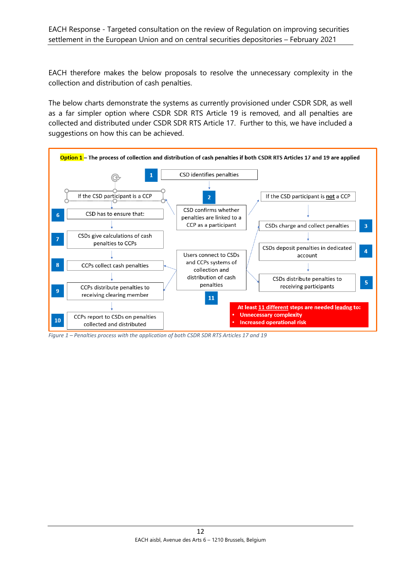EACH therefore makes the below proposals to resolve the unnecessary complexity in the collection and distribution of cash penalties.

The below charts demonstrate the systems as currently provisioned under CSDR SDR, as well as a far simpler option where CSDR SDR RTS Article 19 is removed, and all penalties are collected and distributed under CSDR SDR RTS Article 17. Further to this, we have included a suggestions on how this can be achieved.



*Figure 1 – Penalties process with the application of both CSDR SDR RTS Articles 17 and 19*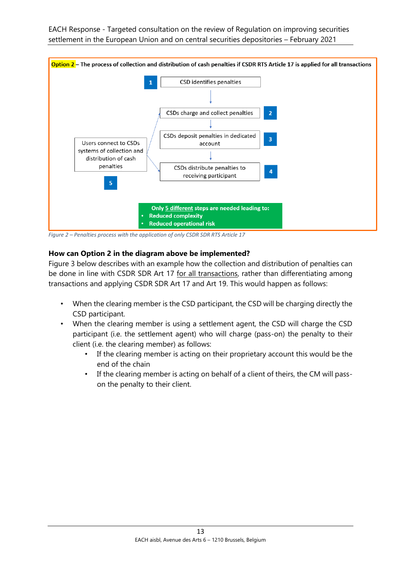

*Figure 2 – Penalties process with the application of only CSDR SDR RTS Article 17*

#### **How can Option 2 in the diagram above be implemented?**

Figure 3 below describes with an example how the collection and distribution of penalties can be done in line with CSDR SDR Art 17 for all transactions, rather than differentiating among transactions and applying CSDR SDR Art 17 and Art 19. This would happen as follows:

- When the clearing member is the CSD participant, the CSD will be charging directly the CSD participant.
- When the clearing member is using a settlement agent, the CSD will charge the CSD participant (i.e. the settlement agent) who will charge (pass-on) the penalty to their client (i.e. the clearing member) as follows:
	- If the clearing member is acting on their proprietary account this would be the end of the chain
	- If the clearing member is acting on behalf of a client of theirs, the CM will passon the penalty to their client.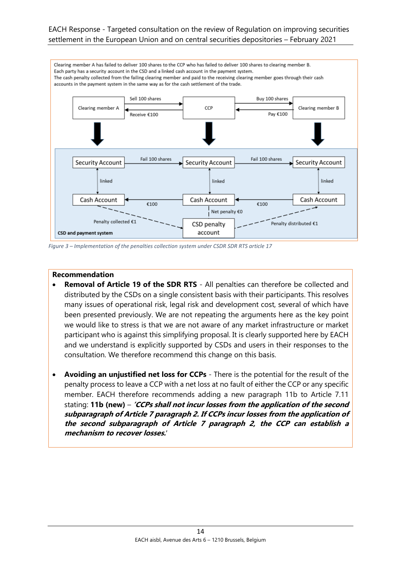

*Figure 3 – Implementation of the penalties collection system under CSDR SDR RTS article 17*

#### **Recommendation**

- **Removal of Article 19 of the SDR RTS** All penalties can therefore be collected and distributed by the CSDs on a single consistent basis with their participants. This resolves many issues of operational risk, legal risk and development cost, several of which have been presented previously. We are not repeating the arguments here as the key point we would like to stress is that we are not aware of any market infrastructure or market participant who is against this simplifying proposal. It is clearly supported here by EACH and we understand is explicitly supported by CSDs and users in their responses to the consultation. We therefore recommend this change on this basis.
- **Avoiding an unjustified net loss for CCPs** There is the potential for the result of the penalty process to leave a CCP with a net loss at no fault of either the CCP or any specific member. EACH therefore recommends adding a new paragraph 11b to Article 7.11 stating: **11b (new)** – **'CCPs shall not incur losses from the application of the second subparagraph of Article 7 paragraph 2. If CCPs incur losses from the application of the second subparagraph of Article 7 paragraph 2, the CCP can establish a mechanism to recover losses.**'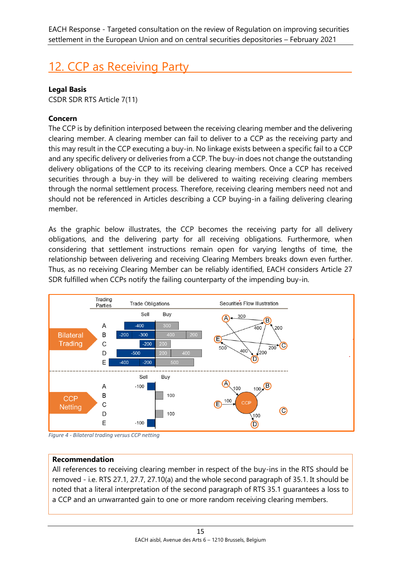# <span id="page-14-0"></span>12. CCP as Receiving Party

### **Legal Basis**

CSDR SDR RTS Article 7(11)

### **Concern**

The CCP is by definition interposed between the receiving clearing member and the delivering clearing member. A clearing member can fail to deliver to a CCP as the receiving party and this may result in the CCP executing a buy-in. No linkage exists between a specific fail to a CCP and any specific delivery or deliveries from a CCP. The buy-in does not change the outstanding delivery obligations of the CCP to its receiving clearing members. Once a CCP has received securities through a buy-in they will be delivered to waiting receiving clearing members through the normal settlement process. Therefore, receiving clearing members need not and should not be referenced in Articles describing a CCP buying-in a failing delivering clearing member.

As the graphic below illustrates, the CCP becomes the receiving party for all delivery obligations, and the delivering party for all receiving obligations. Furthermore, when considering that settlement instructions remain open for varying lengths of time, the relationship between delivering and receiving Clearing Members breaks down even further. Thus, as no receiving Clearing Member can be reliably identified, EACH considers Article 27 SDR fulfilled when CCPs notify the failing counterparty of the impending buy-in.



*Figure 4 - Bilateral trading versus CCP netting*

### **Recommendation**

All references to receiving clearing member in respect of the buy-ins in the RTS should be removed - i.e. RTS 27.1, 27.7, 27.10(a) and the whole second paragraph of 35.1. It should be noted that a literal interpretation of the second paragraph of RTS 35.1 guarantees a loss to a CCP and an unwarranted gain to one or more random receiving clearing members.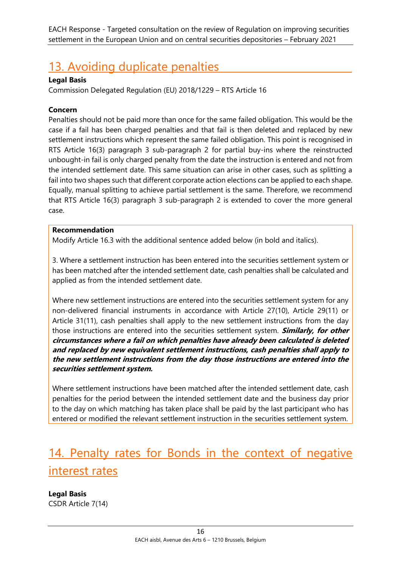# <span id="page-15-0"></span>13. Avoiding duplicate penalties

#### **Legal Basis**

Commission Delegated Regulation (EU) 2018/1229 – RTS Article 16

#### **Concern**

Penalties should not be paid more than once for the same failed obligation. This would be the case if a fail has been charged penalties and that fail is then deleted and replaced by new settlement instructions which represent the same failed obligation. This point is recognised in RTS Article 16(3) paragraph 3 sub-paragraph 2 for partial buy-ins where the reinstructed unbought-in fail is only charged penalty from the date the instruction is entered and not from the intended settlement date. This same situation can arise in other cases, such as splitting a fail into two shapes such that different corporate action elections can be applied to each shape. Equally, manual splitting to achieve partial settlement is the same. Therefore, we recommend that RTS Article 16(3) paragraph 3 sub-paragraph 2 is extended to cover the more general case.

#### **Recommendation**

Modify Article 16.3 with the additional sentence added below (in bold and italics).

3. Where a settlement instruction has been entered into the securities settlement system or has been matched after the intended settlement date, cash penalties shall be calculated and applied as from the intended settlement date.

Where new settlement instructions are entered into the securities settlement system for any non-delivered financial instruments in accordance with Article 27(10), Article 29(11) or Article 31(11), cash penalties shall apply to the new settlement instructions from the day those instructions are entered into the securities settlement system. **Similarly, for other circumstances where a fail on which penalties have already been calculated is deleted and replaced by new equivalent settlement instructions, cash penalties shall apply to the new settlement instructions from the day those instructions are entered into the securities settlement system.**

Where settlement instructions have been matched after the intended settlement date, cash penalties for the period between the intended settlement date and the business day prior to the day on which matching has taken place shall be paid by the last participant who has entered or modified the relevant settlement instruction in the securities settlement system.

# <span id="page-15-1"></span>14. Penalty rates for Bonds in the context of negative interest rates

**Legal Basis** CSDR Article 7(14)